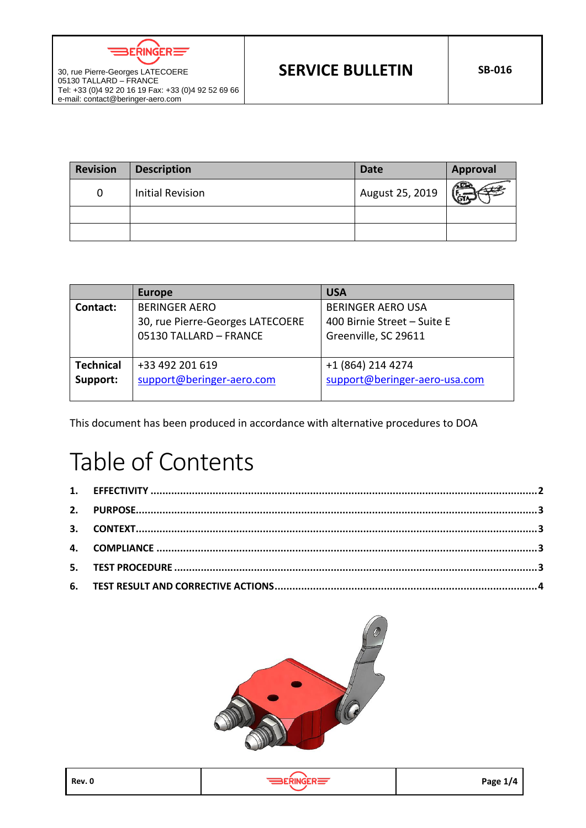ERINGER $\equiv$ 

| <b>Revision</b> | <b>Description</b>      | <b>Date</b>     | <b>Approval</b> |
|-----------------|-------------------------|-----------------|-----------------|
| 0               | <b>Initial Revision</b> | August 25, 2019 |                 |
|                 |                         |                 |                 |
|                 |                         |                 |                 |

|                  | <b>Europe</b>                    | <b>USA</b>                    |
|------------------|----------------------------------|-------------------------------|
| Contact:         | <b>BERINGER AERO</b>             | <b>BERINGER AERO USA</b>      |
|                  | 30, rue Pierre-Georges LATECOERE | 400 Birnie Street - Suite E   |
|                  | 05130 TALLARD - FRANCE           | Greenville, SC 29611          |
|                  |                                  |                               |
| <b>Technical</b> | +33 492 201 619                  | +1 (864) 214 4274             |
| Support:         | support@beringer-aero.com        | support@beringer-aero-usa.com |
|                  |                                  |                               |

This document has been produced in accordance with alternative procedures to DOA

# Table of Contents





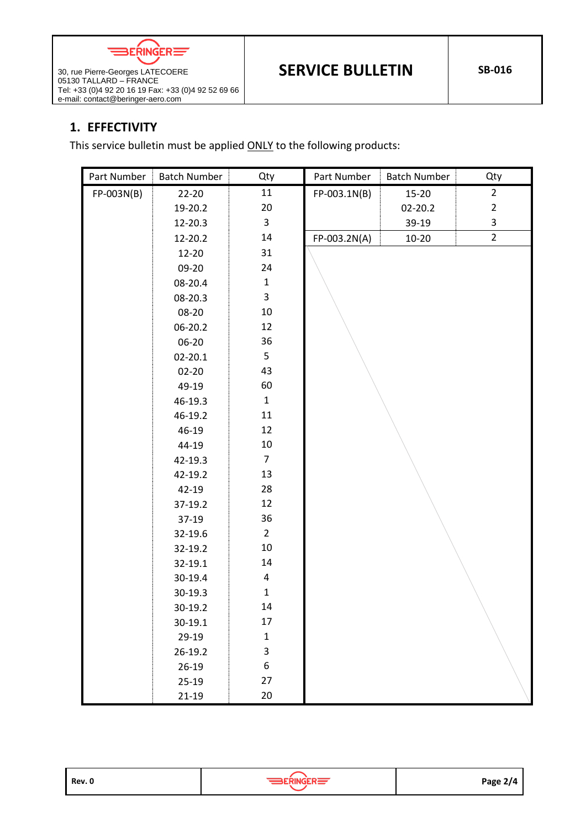

Tel: +33 (0)4 92 20 16 19 Fax: +33 (0)4 92 52 69 66

### <span id="page-1-0"></span>**1. EFFECTIVITY**

e-mail: contact@beringer-aero.com

05130 TALLARD – FRANCE

This service bulletin must be applied ONLY to the following products:

| Part Number | <b>Batch Number</b> | Qty                     | Part Number  | <b>Batch Number</b> | Qty            |
|-------------|---------------------|-------------------------|--------------|---------------------|----------------|
| FP-003N(B)  | $22 - 20$           | 11                      | FP-003.1N(B) | 15-20               | $\overline{2}$ |
|             | 19-20.2             | $20\,$                  |              | 02-20.2             | $\overline{2}$ |
|             | 12-20.3             | 3                       |              | 39-19               | 3              |
|             | 12-20.2             | 14                      | FP-003.2N(A) | $10 - 20$           | $\overline{2}$ |
|             | 12-20               | 31                      |              |                     |                |
|             | 09-20               | 24                      |              |                     |                |
|             | 08-20.4             | $\mathbf{1}$            |              |                     |                |
|             | 08-20.3             | $\overline{\mathbf{3}}$ |              |                     |                |
|             | 08-20               | $10\,$                  |              |                     |                |
|             | 06-20.2             | 12                      |              |                     |                |
|             | 06-20               | 36                      |              |                     |                |
|             | $02 - 20.1$         | 5                       |              |                     |                |
|             | $02 - 20$           | 43                      |              |                     |                |
|             | 49-19               | 60                      |              |                     |                |
|             | 46-19.3             | $\mathbf 1$             |              |                     |                |
|             | 46-19.2             | 11                      |              |                     |                |
|             | 46-19               | 12                      |              |                     |                |
|             | 44-19               | 10                      |              |                     |                |
|             | 42-19.3             | $\overline{7}$          |              |                     |                |
|             | 42-19.2             | 13                      |              |                     |                |
|             | 42-19               | 28                      |              |                     |                |
|             | 37-19.2             | 12                      |              |                     |                |
|             | $37-19$             | 36                      |              |                     |                |
|             | 32-19.6             | $\overline{2}$          |              |                     |                |
|             | 32-19.2             | 10                      |              |                     |                |
|             | 32-19.1             | 14                      |              |                     |                |
|             | 30-19.4             | $\overline{\mathbf{4}}$ |              |                     |                |
|             | 30-19.3             | $\mathbf{1}$            |              |                     |                |
|             | 30-19.2             | 14                      |              |                     |                |
|             | 30-19.1             | 17                      |              |                     |                |
|             | 29-19               | $\mathbf 1$             |              |                     |                |
|             | 26-19.2             | 3                       |              |                     |                |
|             | $26-19$             | 6                       |              |                     |                |
|             | $25-19$             | 27                      |              |                     |                |
|             | $21-19$             | 20                      |              |                     |                |

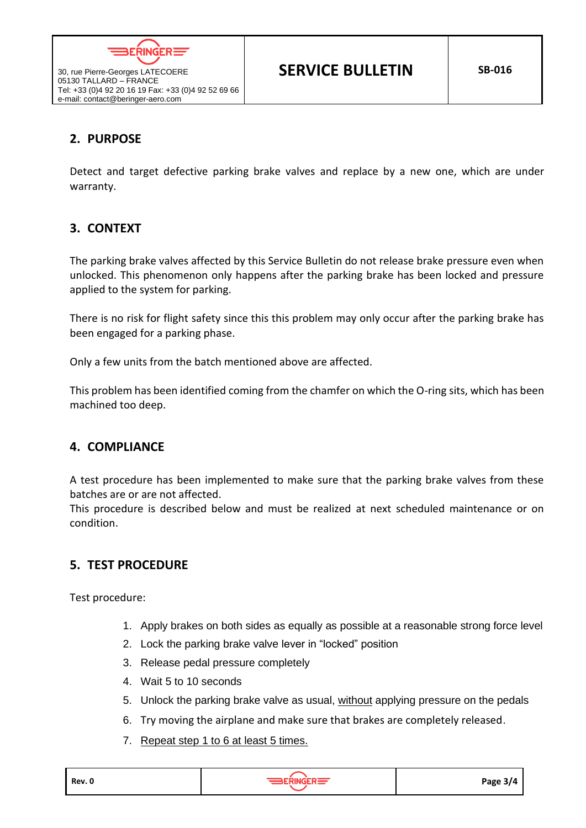

Tel: +33 (0)4 92 20 16 19 Fax: +33 (0)4 92 52 69 66

## <span id="page-2-0"></span>**2. PURPOSE**

30, rue Pierre-Georges LATECOERE 05130 TALLARD – FRANCE

e-mail: contact@beringer-aero.com

Detect and target defective parking brake valves and replace by a new one, which are under warranty.

#### <span id="page-2-1"></span>**3. CONTEXT**

The parking brake valves affected by this Service Bulletin do not release brake pressure even when unlocked. This phenomenon only happens after the parking brake has been locked and pressure applied to the system for parking.

There is no risk for flight safety since this this problem may only occur after the parking brake has been engaged for a parking phase.

Only a few units from the batch mentioned above are affected.

This problem has been identified coming from the chamfer on which the O-ring sits, which has been machined too deep.

#### <span id="page-2-2"></span>**4. COMPLIANCE**

A test procedure has been implemented to make sure that the parking brake valves from these batches are or are not affected.

This procedure is described below and must be realized at next scheduled maintenance or on condition.

#### <span id="page-2-3"></span>**5. TEST PROCEDURE**

Test procedure:

- 1. Apply brakes on both sides as equally as possible at a reasonable strong force level
- 2. Lock the parking brake valve lever in "locked" position
- 3. Release pedal pressure completely
- 4. Wait 5 to 10 seconds
- 5. Unlock the parking brake valve as usual, without applying pressure on the pedals
- 6. Try moving the airplane and make sure that brakes are completely released.
- 7. Repeat step 1 to 6 at least 5 times.